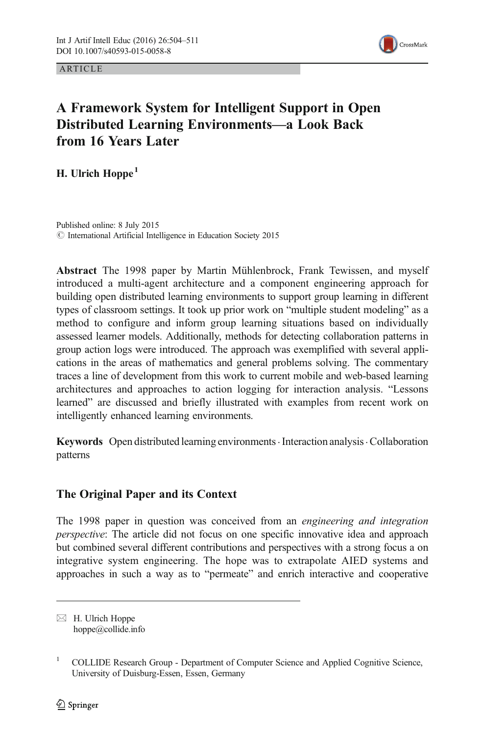ARTICLE



# A Framework System for Intelligent Support in Open Distributed Learning Environments—a Look Back from 16 Years Later

H. Ulrich Hoppe<sup>1</sup>

Published online: 8 July 2015 © International Artificial Intelligence in Education Society 2015

Abstract The 1998 paper by Martin Mühlenbrock, Frank Tewissen, and myself introduced a multi-agent architecture and a component engineering approach for building open distributed learning environments to support group learning in different types of classroom settings. It took up prior work on "multiple student modeling" as a method to configure and inform group learning situations based on individually assessed learner models. Additionally, methods for detecting collaboration patterns in group action logs were introduced. The approach was exemplified with several applications in the areas of mathematics and general problems solving. The commentary traces a line of development from this work to current mobile and web-based learning architectures and approaches to action logging for interaction analysis. "Lessons learned" are discussed and briefly illustrated with examples from recent work on intelligently enhanced learning environments.

Keywords Open distributed learning environments Interaction analysis Collaboration patterns

# The Original Paper and its Context

The 1998 paper in question was conceived from an engineering and integration perspective: The article did not focus on one specific innovative idea and approach but combined several different contributions and perspectives with a strong focus a on integrative system engineering. The hope was to extrapolate AIED systems and approaches in such a way as to "permeate" and enrich interactive and cooperative

 $\boxtimes$  H. Ulrich Hoppe hoppe@collide.info

<sup>&</sup>lt;sup>1</sup> COLLIDE Research Group - Department of Computer Science and Applied Cognitive Science, University of Duisburg-Essen, Essen, Germany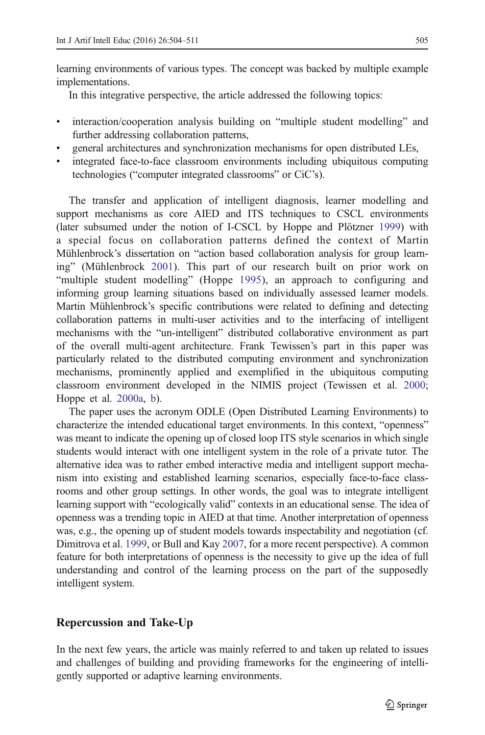learning environments of various types. The concept was backed by multiple example implementations.

In this integrative perspective, the article addressed the following topics:

- & interaction/cooperation analysis building on "multiple student modelling" and further addressing collaboration patterns,
- & general architectures and synchronization mechanisms for open distributed LEs,
- & integrated face-to-face classroom environments including ubiquitous computing technologies ("computer integrated classrooms" or CiC's).

The transfer and application of intelligent diagnosis, learner modelling and support mechanisms as core AIED and ITS techniques to CSCL environments (later subsumed under the notion of I-CSCL by Hoppe and Plötzner [1999](#page-6-0)) with a special focus on collaboration patterns defined the context of Martin Mühlenbrock's dissertation on "action based collaboration analysis for group learning" (Mühlenbrock [2001](#page-7-0)). This part of our research built on prior work on "multiple student modelling" (Hoppe [1995](#page-6-0)), an approach to configuring and informing group learning situations based on individually assessed learner models. Martin Mühlenbrock's specific contributions were related to defining and detecting collaboration patterns in multi-user activities and to the interfacing of intelligent mechanisms with the "un-intelligent" distributed collaborative environment as part of the overall multi-agent architecture. Frank Tewissen's part in this paper was particularly related to the distributed computing environment and synchronization mechanisms, prominently applied and exemplified in the ubiquitous computing classroom environment developed in the NIMIS project (Tewissen et al. [2000;](#page-7-0) Hoppe et al. [2000a,](#page-7-0) [b](#page-7-0)).

The paper uses the acronym ODLE (Open Distributed Learning Environments) to characterize the intended educational target environments. In this context, "openness" was meant to indicate the opening up of closed loop ITS style scenarios in which single students would interact with one intelligent system in the role of a private tutor. The alternative idea was to rather embed interactive media and intelligent support mechanism into existing and established learning scenarios, especially face-to-face classrooms and other group settings. In other words, the goal was to integrate intelligent learning support with "ecologically valid" contexts in an educational sense. The idea of openness was a trending topic in AIED at that time. Another interpretation of openness was, e.g., the opening up of student models towards inspectability and negotiation (cf. Dimitrova et al. [1999](#page-6-0), or Bull and Kay [2007](#page-6-0), for a more recent perspective). A common feature for both interpretations of openness is the necessity to give up the idea of full understanding and control of the learning process on the part of the supposedly intelligent system.

# Repercussion and Take-Up

In the next few years, the article was mainly referred to and taken up related to issues and challenges of building and providing frameworks for the engineering of intelligently supported or adaptive learning environments.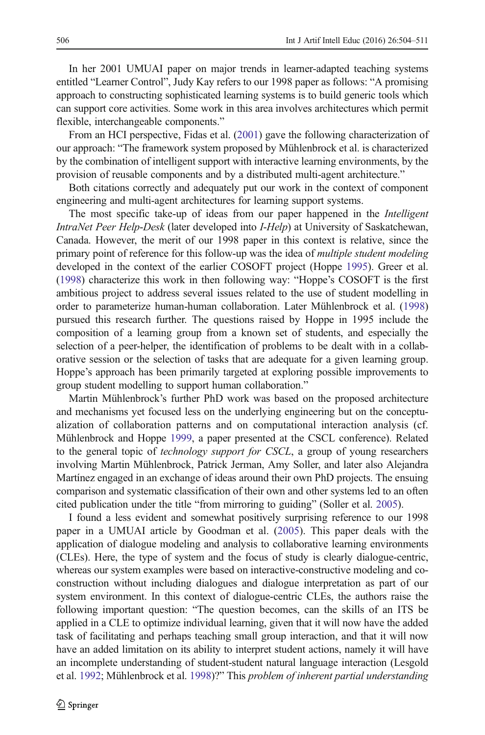In her 2001 UMUAI paper on major trends in learner-adapted teaching systems entitled "Learner Control", Judy Kay refers to our 1998 paper as follows: "A promising approach to constructing sophisticated learning systems is to build generic tools which can support core activities. Some work in this area involves architectures which permit flexible, interchangeable components."

From an HCI perspective, Fidas et al. [\(2001](#page-6-0)) gave the following characterization of our approach: "The framework system proposed by Mühlenbrock et al. is characterized by the combination of intelligent support with interactive learning environments, by the provision of reusable components and by a distributed multi-agent architecture."

Both citations correctly and adequately put our work in the context of component engineering and multi-agent architectures for learning support systems.

The most specific take-up of ideas from our paper happened in the *Intelligent* IntraNet Peer Help-Desk (later developed into I-Help) at University of Saskatchewan, Canada. However, the merit of our 1998 paper in this context is relative, since the primary point of reference for this follow-up was the idea of multiple student modeling developed in the context of the earlier COSOFT project (Hoppe [1995](#page-6-0)). Greer et al. [\(1998\)](#page-6-0) characterize this work in then following way: "Hoppe's COSOFT is the first ambitious project to address several issues related to the use of student modelling in order to parameterize human-human collaboration. Later Mühlenbrock et al. ([1998](#page-7-0)) pursued this research further. The questions raised by Hoppe in 1995 include the composition of a learning group from a known set of students, and especially the selection of a peer-helper, the identification of problems to be dealt with in a collaborative session or the selection of tasks that are adequate for a given learning group. Hoppe's approach has been primarily targeted at exploring possible improvements to group student modelling to support human collaboration."

Martin Mühlenbrock's further PhD work was based on the proposed architecture and mechanisms yet focused less on the underlying engineering but on the conceptualization of collaboration patterns and on computational interaction analysis (cf. Mühlenbrock and Hoppe [1999,](#page-7-0) a paper presented at the CSCL conference). Related to the general topic of *technology support for CSCL*, a group of young researchers involving Martin Mühlenbrock, Patrick Jerman, Amy Soller, and later also Alejandra Martínez engaged in an exchange of ideas around their own PhD projects. The ensuing comparison and systematic classification of their own and other systems led to an often cited publication under the title "from mirroring to guiding" (Soller et al. [2005](#page-7-0)).

I found a less evident and somewhat positively surprising reference to our 1998 paper in a UMUAI article by Goodman et al. ([2005](#page-6-0)). This paper deals with the application of dialogue modeling and analysis to collaborative learning environments (CLEs). Here, the type of system and the focus of study is clearly dialogue-centric, whereas our system examples were based on interactive-constructive modeling and coconstruction without including dialogues and dialogue interpretation as part of our system environment. In this context of dialogue-centric CLEs, the authors raise the following important question: "The question becomes, can the skills of an ITS be applied in a CLE to optimize individual learning, given that it will now have the added task of facilitating and perhaps teaching small group interaction, and that it will now have an added limitation on its ability to interpret student actions, namely it will have an incomplete understanding of student-student natural language interaction (Lesgold et al. [1992](#page-7-0); Mühlenbrock et al. [1998\)](#page-7-0)?" This problem of inherent partial understanding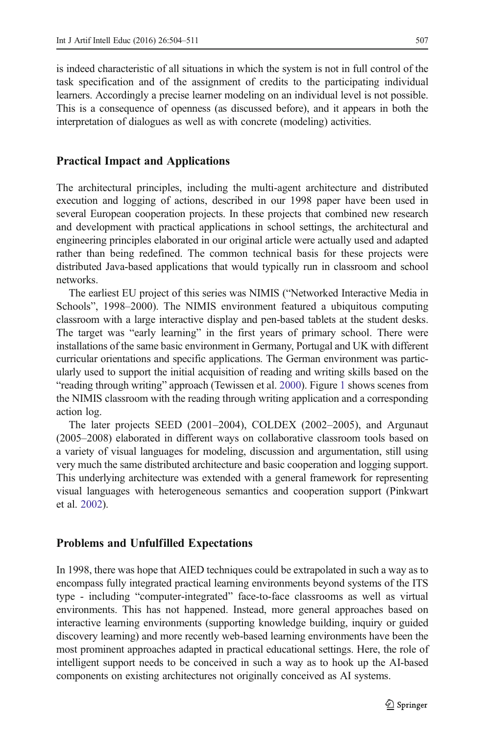is indeed characteristic of all situations in which the system is not in full control of the task specification and of the assignment of credits to the participating individual learners. Accordingly a precise learner modeling on an individual level is not possible. This is a consequence of openness (as discussed before), and it appears in both the interpretation of dialogues as well as with concrete (modeling) activities.

## Practical Impact and Applications

The architectural principles, including the multi-agent architecture and distributed execution and logging of actions, described in our 1998 paper have been used in several European cooperation projects. In these projects that combined new research and development with practical applications in school settings, the architectural and engineering principles elaborated in our original article were actually used and adapted rather than being redefined. The common technical basis for these projects were distributed Java-based applications that would typically run in classroom and school networks.

The earliest EU project of this series was NIMIS ("Networked Interactive Media in Schools", 1998–2000). The NIMIS environment featured a ubiquitous computing classroom with a large interactive display and pen-based tablets at the student desks. The target was "early learning" in the first years of primary school. There were installations of the same basic environment in Germany, Portugal and UK with different curricular orientations and specific applications. The German environment was particularly used to support the initial acquisition of reading and writing skills based on the "reading through writing" approach (Tewissen et al. [2000\)](#page-7-0). Figure [1](#page-4-0) shows scenes from the NIMIS classroom with the reading through writing application and a corresponding action log.

The later projects SEED (2001–2004), COLDEX (2002–2005), and Argunaut (2005–2008) elaborated in different ways on collaborative classroom tools based on a variety of visual languages for modeling, discussion and argumentation, still using very much the same distributed architecture and basic cooperation and logging support. This underlying architecture was extended with a general framework for representing visual languages with heterogeneous semantics and cooperation support (Pinkwart et al. [2002\)](#page-7-0).

### Problems and Unfulfilled Expectations

In 1998, there was hope that AIED techniques could be extrapolated in such a way as to encompass fully integrated practical learning environments beyond systems of the ITS type - including "computer-integrated" face-to-face classrooms as well as virtual environments. This has not happened. Instead, more general approaches based on interactive learning environments (supporting knowledge building, inquiry or guided discovery learning) and more recently web-based learning environments have been the most prominent approaches adapted in practical educational settings. Here, the role of intelligent support needs to be conceived in such a way as to hook up the AI-based components on existing architectures not originally conceived as AI systems.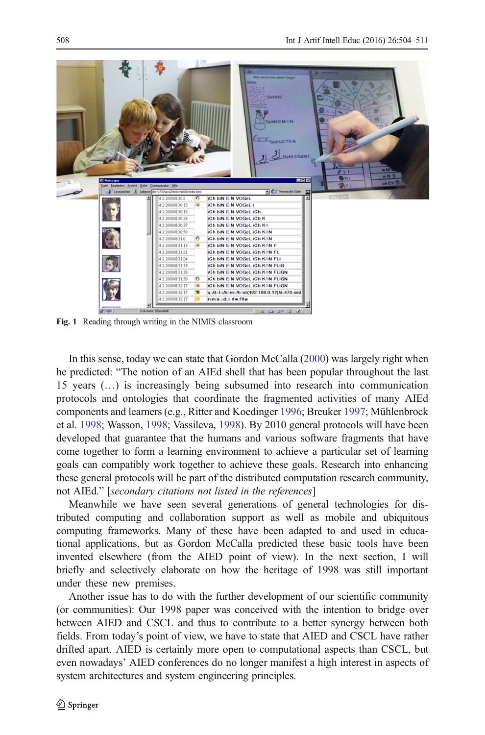<span id="page-4-0"></span>

Fig. 1 Reading through writing in the NIMIS classroom

In this sense, today we can state that Gordon McCalla [\(2000\)](#page-7-0) was largely right when he predicted: "The notion of an AIEd shell that has been popular throughout the last 15 years (…) is increasingly being subsumed into research into communication protocols and ontologies that coordinate the fragmented activities of many AIEd components and learners (e.g., Ritter and Koedinger [1996](#page-7-0); Breuker [1997](#page-6-0); Mühlenbrock et al. [1998;](#page-7-0) Wasson, [1998;](#page-7-0) Vassileva, [1998\)](#page-7-0). By 2010 general protocols will have been developed that guarantee that the humans and various software fragments that have come together to form a learning environment to achieve a particular set of learning goals can compatibly work together to achieve these goals. Research into enhancing these general protocols will be part of the distributed computation research community, not AIEd." [secondary citations not listed in the references]

Meanwhile we have seen several generations of general technologies for distributed computing and collaboration support as well as mobile and ubiquitous computing frameworks. Many of these have been adapted to and used in educational applications, but as Gordon McCalla predicted these basic tools have been invented elsewhere (from the AIED point of view). In the next section, I will briefly and selectively elaborate on how the heritage of 1998 was still important under these new premises.

Another issue has to do with the further development of our scientific community (or communities): Our 1998 paper was conceived with the intention to bridge over between AIED and CSCL and thus to contribute to a better synergy between both fields. From today's point of view, we have to state that AIED and CSCL have rather drifted apart. AIED is certainly more open to computational aspects than CSCL, but even nowadays' AIED conferences do no longer manifest a high interest in aspects of system architectures and system engineering principles.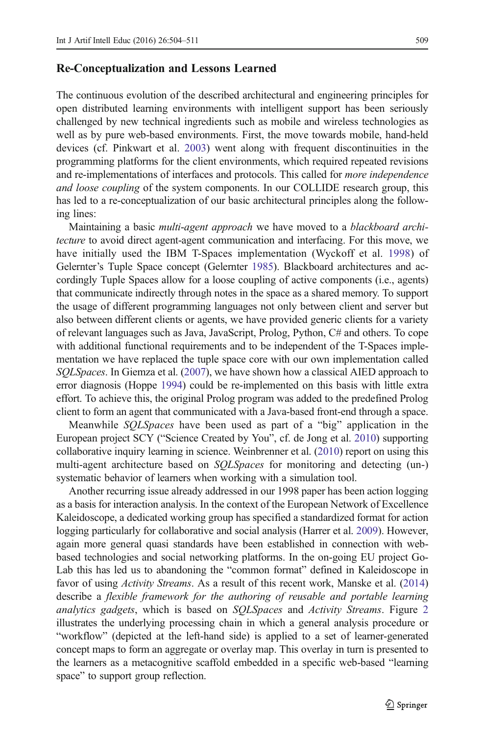#### Re-Conceptualization and Lessons Learned

The continuous evolution of the described architectural and engineering principles for open distributed learning environments with intelligent support has been seriously challenged by new technical ingredients such as mobile and wireless technologies as well as by pure web-based environments. First, the move towards mobile, hand-held devices (cf. Pinkwart et al. [2003](#page-7-0)) went along with frequent discontinuities in the programming platforms for the client environments, which required repeated revisions and re-implementations of interfaces and protocols. This called for more independence and loose coupling of the system components. In our COLLIDE research group, this has led to a re-conceptualization of our basic architectural principles along the following lines:

Maintaining a basic *multi-agent approach* we have moved to a *blackboard archi*tecture to avoid direct agent-agent communication and interfacing. For this move, we have initially used the IBM T-Spaces implementation (Wyckoff et al. [1998](#page-7-0)) of Gelernter's Tuple Space concept (Gelernter [1985\)](#page-6-0). Blackboard architectures and accordingly Tuple Spaces allow for a loose coupling of active components (i.e., agents) that communicate indirectly through notes in the space as a shared memory. To support the usage of different programming languages not only between client and server but also between different clients or agents, we have provided generic clients for a variety of relevant languages such as Java, JavaScript, Prolog, Python, C# and others. To cope with additional functional requirements and to be independent of the T-Spaces implementation we have replaced the tuple space core with our own implementation called SQLSpaces. In Giemza et al. [\(2007\)](#page-6-0), we have shown how a classical AIED approach to error diagnosis (Hoppe [1994](#page-6-0)) could be re-implemented on this basis with little extra effort. To achieve this, the original Prolog program was added to the predefined Prolog client to form an agent that communicated with a Java-based front-end through a space.

Meanwhile SQLSpaces have been used as part of a "big" application in the European project SCY ("Science Created by You", cf. de Jong et al. [2010\)](#page-6-0) supporting collaborative inquiry learning in science. Weinbrenner et al. [\(2010\)](#page-7-0) report on using this multi-agent architecture based on *SOLSpaces* for monitoring and detecting (un-) systematic behavior of learners when working with a simulation tool.

Another recurring issue already addressed in our 1998 paper has been action logging as a basis for interaction analysis. In the context of the European Network of Excellence Kaleidoscope, a dedicated working group has specified a standardized format for action logging particularly for collaborative and social analysis (Harrer et al. [2009\)](#page-6-0). However, again more general quasi standards have been established in connection with webbased technologies and social networking platforms. In the on-going EU project Go-Lab this has led us to abandoning the "common format" defined in Kaleidoscope in favor of using *Activity Streams*. As a result of this recent work, Manske et al. ([2014](#page-7-0)) describe a flexible framework for the authoring of reusable and portable learning analytics gadgets, which is based on SQLSpaces and Activity Streams. Figure [2](#page-6-0) illustrates the underlying processing chain in which a general analysis procedure or "workflow" (depicted at the left-hand side) is applied to a set of learner-generated concept maps to form an aggregate or overlay map. This overlay in turn is presented to the learners as a metacognitive scaffold embedded in a specific web-based "learning space" to support group reflection.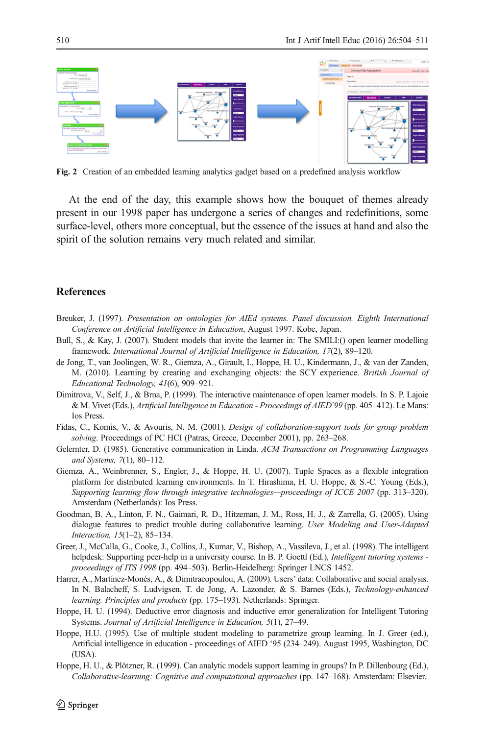<span id="page-6-0"></span>

Fig. 2 Creation of an embedded learning analytics gadget based on a predefined analysis workflow

At the end of the day, this example shows how the bouquet of themes already present in our 1998 paper has undergone a series of changes and redefinitions, some surface-level, others more conceptual, but the essence of the issues at hand and also the spirit of the solution remains very much related and similar.

#### References

- Breuker, J. (1997). Presentation on ontologies for AIEd systems. Panel discussion. Eighth International Conference on Artificial Intelligence in Education, August 1997. Kobe, Japan.
- Bull, S., & Kay, J. (2007). Student models that invite the learner in: The SMILI: () open learner modelling framework. International Journal of Artificial Intelligence in Education, 17(2), 89–120.
- de Jong, T., van Joolingen, W. R., Giemza, A., Girault, I., Hoppe, H. U., Kindermann, J., & van der Zanden, M. (2010). Learning by creating and exchanging objects: the SCY experience. British Journal of Educational Technology, 41(6), 909–921.
- Dimitrova, V., Self, J., & Brna, P. (1999). The interactive maintenance of open learner models. In S. P. Lajoie & M. Vivet (Eds.), Artificial Intelligence in Education - Proceedings of AIED'99 (pp. 405–412). Le Mans: Ios Press.
- Fidas, C., Komis, V., & Avouris, N. M. (2001). Design of collaboration-support tools for group problem solving. Proceedings of PC HCI (Patras, Greece, December 2001), pp. 263–268.
- Gelernter, D. (1985). Generative communication in Linda. ACM Transactions on Programming Languages and Systems, 7(1), 80–112.
- Giemza, A., Weinbrenner, S., Engler, J., & Hoppe, H. U. (2007). Tuple Spaces as a flexible integration platform for distributed learning environments. In T. Hirashima, H. U. Hoppe, & S.-C. Young (Eds.), Supporting learning flow through integrative technologies—proceedings of ICCE 2007 (pp. 313–320). Amsterdam (Netherlands): Ios Press.
- Goodman, B. A., Linton, F. N., Gaimari, R. D., Hitzeman, J. M., Ross, H. J., & Zarrella, G. (2005). Using dialogue features to predict trouble during collaborative learning. User Modeling and User-Adapted Interaction, 15(1–2), 85–134.
- Greer, J., McCalla, G., Cooke, J., Collins, J., Kumar, V., Bishop, A., Vassileva, J., et al. (1998). The intelligent helpdesk: Supporting peer-help in a university course. In B. P. Goettl (Ed.), Intelligent tutoring systems proceedings of ITS 1998 (pp. 494–503). Berlin-Heidelberg: Springer LNCS 1452.
- Harrer, A., Martínez-Monés, A., & Dimitracopoulou, A. (2009). Users' data: Collaborative and social analysis. In N. Balacheff, S. Ludvigsen, T. de Jong, A. Lazonder, & S. Barnes (Eds.), Technology-enhanced learning. Principles and products (pp. 175–193). Netherlands: Springer.
- Hoppe, H. U. (1994). Deductive error diagnosis and inductive error generalization for Intelligent Tutoring Systems. Journal of Artificial Intelligence in Education, 5(1), 27–49.
- Hoppe, H.U. (1995). Use of multiple student modeling to parametrize group learning. In J. Greer (ed.), Artificial intelligence in education - proceedings of AIED '95 (234–249). August 1995, Washington, DC (USA).
- Hoppe, H. U., & Plötzner, R. (1999). Can analytic models support learning in groups? In P. Dillenbourg (Ed.), Collaborative-learning: Cognitive and computational approaches (pp. 147–168). Amsterdam: Elsevier.